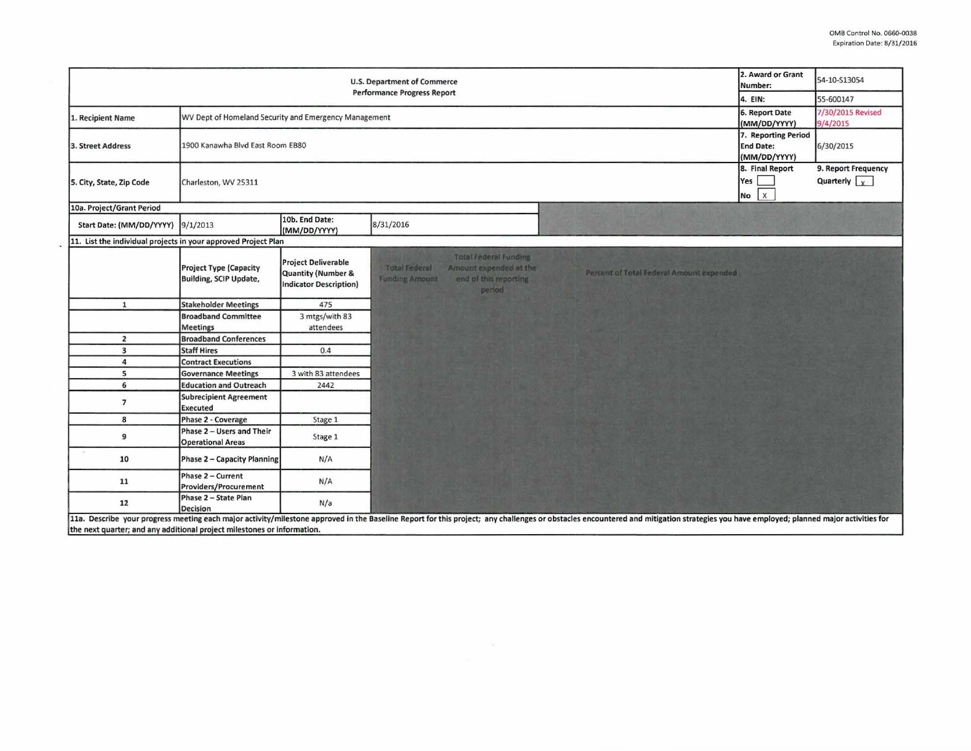| 2. Award or Grant<br><b>U.S. Department of Commerce</b><br>Number:<br><b>Performance Progress Report</b> |                                                                |                                                                                   |                                                                                                                                                                                                                                |  | 54-10-S13054 |
|----------------------------------------------------------------------------------------------------------|----------------------------------------------------------------|-----------------------------------------------------------------------------------|--------------------------------------------------------------------------------------------------------------------------------------------------------------------------------------------------------------------------------|--|--------------|
|                                                                                                          | 4. EIN:                                                        | 55-600147                                                                         |                                                                                                                                                                                                                                |  |              |
| 1. Recipient Name                                                                                        | WV Dept of Homeland Security and Emergency Management          | 6. Report Date<br>(MM/DD/YYYY)                                                    | 7/30/2015 Revised<br>9/4/2015                                                                                                                                                                                                  |  |              |
| 3. Street Address                                                                                        | 1900 Kanawha Blvd East Room EB80                               | 7. Reporting Period<br>End Date:<br>(MM/DD/YYYY)                                  | 6/30/2015                                                                                                                                                                                                                      |  |              |
| 5. City, State, Zip Code                                                                                 | Charleston, WV 25311                                           | 8. Final Report<br>Yes<br>No X                                                    | 9. Report Frequency<br>Quarterly $\sqrt{x}$                                                                                                                                                                                    |  |              |
| 10a. Project/Grant Period                                                                                |                                                                |                                                                                   |                                                                                                                                                                                                                                |  |              |
| Start Date: (MM/DD/YYYY)                                                                                 | 9/1/2013                                                       | 10b. End Date:<br>(MM/DD/YYYY)                                                    | 8/31/2016                                                                                                                                                                                                                      |  |              |
| 11. List the individual projects in your approved Project Plan                                           |                                                                |                                                                                   |                                                                                                                                                                                                                                |  |              |
|                                                                                                          | <b>Project Type (Capacity</b><br><b>Building, SCIP Update,</b> | <b>Project Deliverable</b><br>Quantity (Number &<br><b>Indicator Description)</b> | <b>Total Federal Funding</b><br><b>Total Federal</b><br>Amount expended at the<br>Percent of Total Federal Amount expended<br>end of this reporting<br><b>Funding Amount</b><br>period                                         |  |              |
| $\mathbf{1}$                                                                                             | <b>Stakeholder Meetings</b>                                    | 475                                                                               |                                                                                                                                                                                                                                |  |              |
|                                                                                                          | <b>Broadband Committee</b>                                     | 3 mtgs/with 83                                                                    |                                                                                                                                                                                                                                |  |              |
|                                                                                                          | <b>Meetings</b>                                                | attendees                                                                         |                                                                                                                                                                                                                                |  |              |
| $\overline{2}$                                                                                           | <b>Broadband Conferences</b>                                   |                                                                                   |                                                                                                                                                                                                                                |  |              |
| $\overline{\mathbf{3}}$                                                                                  | <b>Staff Hires</b>                                             | 0.4                                                                               |                                                                                                                                                                                                                                |  |              |
| 4<br>5                                                                                                   | <b>Contract Executions</b>                                     | 3 with 83 attendees                                                               |                                                                                                                                                                                                                                |  |              |
| 6                                                                                                        | <b>Governance Meetings</b><br><b>Education and Outreach</b>    | 2442                                                                              |                                                                                                                                                                                                                                |  |              |
| $\overline{\phantom{a}}$                                                                                 | <b>Subrecipient Agreement</b><br><b>Executed</b>               |                                                                                   |                                                                                                                                                                                                                                |  |              |
| 8                                                                                                        | Phase 2 - Coverage                                             | Stage 1                                                                           |                                                                                                                                                                                                                                |  |              |
| 9                                                                                                        | Phase 2 - Users and Their<br><b>Operational Areas</b>          | Stage 1                                                                           |                                                                                                                                                                                                                                |  |              |
| 10                                                                                                       | <b>Phase 2 - Capacity Planning</b>                             | N/A                                                                               |                                                                                                                                                                                                                                |  |              |
| 11                                                                                                       | Phase 2 - Current<br><b>Providers/Procurement</b>              | N/A                                                                               |                                                                                                                                                                                                                                |  |              |
| 12                                                                                                       | Phase 2 - State Plan<br><b>Decision</b>                        | N/a                                                                               |                                                                                                                                                                                                                                |  |              |
| the next quarter; and any additional project milestones or information.                                  |                                                                |                                                                                   | 11a. Describe your progress meeting each major activity/milestone approved in the Baseline Report for this project; any challenges or obstacles encountered and mitigation strategies you have employed; planned major activit |  |              |

٠.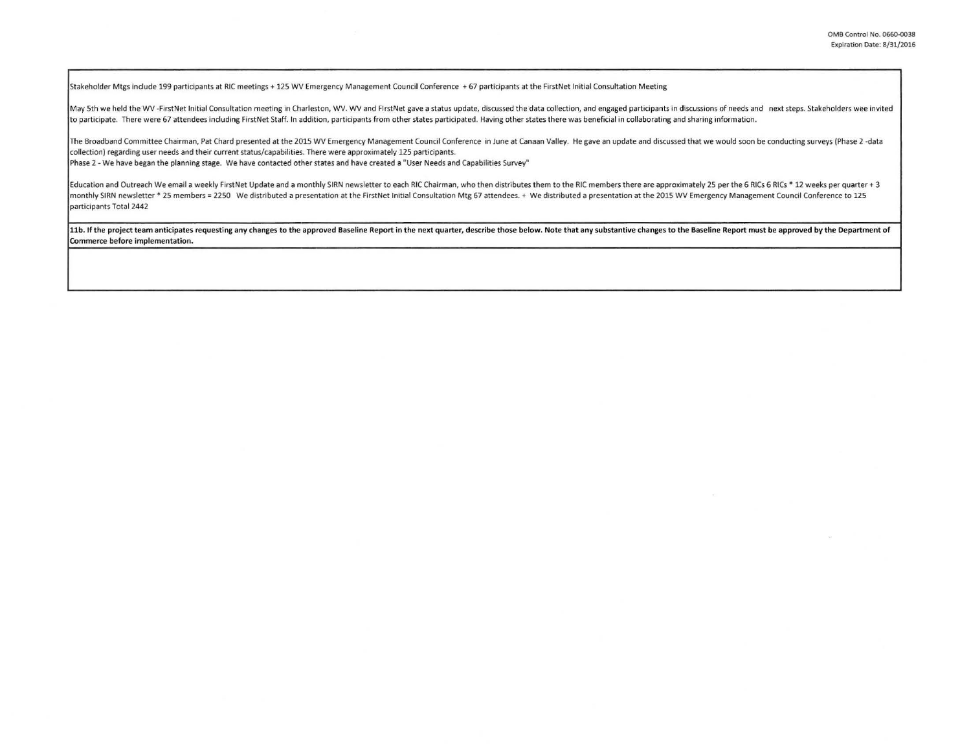Stakeholder Mtgs include 199 participants at RIC meetings+ 125 WV Emergency Management Council Conference + 67 participants at the First Net Initial Consultation Meeting

May 5th we held the WV -FirstNet Initial Consultation meeting in Charleston, WV. WV and FIrstNet gave a status update, discussed the data collection, and engaged participants in discussions of needs and next steps. Stakeho to participate. There were 67 attendees including FirstNet Staff. In addition, participants from other states participated. Having other states there was beneficial in collaborating and sharing information.

The Broadband Committee Chairman, Pat Chard presented at the 2015 WV Emergency Management Council Conference in June at Canaan Valley. He gave an update and discussed that we would soon be conducting surveys (Phase 2 -data collection) regarding user needs and their current status/capabilities. There were approximately 125 participants.

Phase 2- We have began the planning stage. We have contacted other states and have created a "User Needs and Capabilities Survey"

Education and Outreach We email a weekly FirstNet Update and a monthly SIRN newsletter to each RIC Chairman, who then distributes them to the RIC members there are approximately 25 per the 6 RICs 6 RICs \* 12 weeks per quar monthly SIRN newsletter \* 25 members = 2250 We distributed a presentation at the FirstNet Initial Consultation Mtg 67 attendees. + We distributed a presentation at the 2015 WV Emergency Management Council Conference to 125 participants Total 2442

11b. If the project team anticipates requesting any changes to the approved Baseline Report in the next quarter, describe those below. Note that any substantive changes to the Baseline Report must be approved by the Depart Commerce before implementation.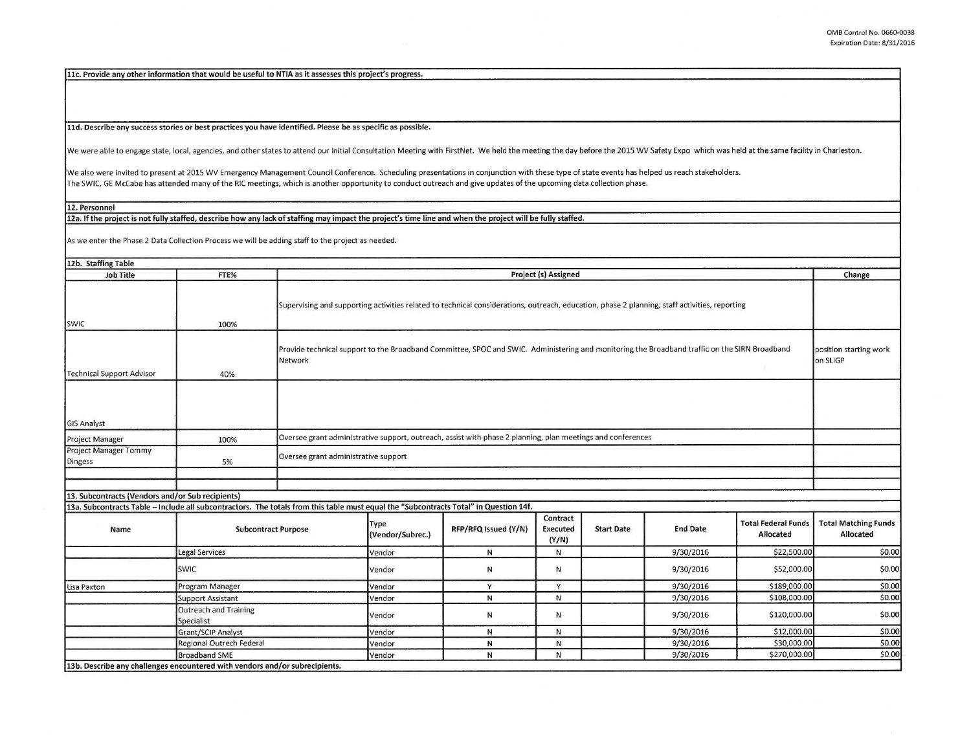llc. Provide any other information that would be useful to NTIA as it assesses this project's progress.

lld. Describe any success stories or best practices you have identified. Please be as specific as possible.

We were able to engage state, local, agencies, and other states to attend our Initial Consultation Meeting with FirstNet. We held the meeting the day before the 2015 WV Safety Expo which was held at the same facility in Ch

We also were invited to present at 2015 WV Emergency Management Council Conference. Scheduling presentations in conjunction with these type of state events has helped us reach stakeholders. The SWIC, GE McCabe has attended many of the RIC meetings, which is another opportunity to conduct outreach and give updates of the upcoming data collection phase.

12. Personnel

12a. If the project is not fully staffed, describe how any lack of staffing may impact the project's time line and when the project will be fully staffed.

As we enter the Phase 2 Data Collection Process we will be adding staff to the project as needed.

| 12b. Staffing Table                                                                                                                   |                                            |                                                                                                                                                          |        |                      |                               |                   |                 |                                         |                                          |
|---------------------------------------------------------------------------------------------------------------------------------------|--------------------------------------------|----------------------------------------------------------------------------------------------------------------------------------------------------------|--------|----------------------|-------------------------------|-------------------|-----------------|-----------------------------------------|------------------------------------------|
| <b>Job Title</b>                                                                                                                      | FTE%                                       | Project (s) Assigned                                                                                                                                     |        |                      |                               |                   |                 | Change                                  |                                          |
| <b>SWIC</b>                                                                                                                           | 100%                                       | Supervising and supporting activities related to technical considerations, outreach, education, phase 2 planning, staff activities, reporting            |        |                      |                               |                   |                 |                                         |                                          |
| <b>Technical Support Advisor</b>                                                                                                      |                                            | Provide technical support to the Broadband Committee, SPOC and SWIC. Administering and monitoring the Broadband traffic on the SIRN Broadband<br>Network |        |                      |                               |                   |                 | position starting work<br>on SLIGP      |                                          |
|                                                                                                                                       | 40%                                        |                                                                                                                                                          |        |                      |                               |                   |                 |                                         |                                          |
| <b>GIS Analyst</b>                                                                                                                    |                                            |                                                                                                                                                          |        |                      |                               |                   |                 |                                         |                                          |
| Project Manager                                                                                                                       | 100%                                       | Oversee grant administrative support, outreach, assist with phase 2 planning, plan meetings and conferences                                              |        |                      |                               |                   |                 |                                         |                                          |
| Project Manager Tommy<br>Dingess                                                                                                      | 5%                                         | Oversee grant administrative support                                                                                                                     |        |                      |                               |                   |                 |                                         |                                          |
|                                                                                                                                       |                                            |                                                                                                                                                          |        |                      |                               |                   |                 |                                         |                                          |
|                                                                                                                                       |                                            |                                                                                                                                                          |        |                      |                               |                   |                 |                                         |                                          |
| 13. Subcontracts (Vendors and/or Sub recipients)                                                                                      |                                            |                                                                                                                                                          |        |                      |                               |                   |                 |                                         |                                          |
| 13a. Subcontracts Table - Include all subcontractors. The totals from this table must equal the "Subcontracts Total" in Question 14f. |                                            |                                                                                                                                                          |        |                      |                               |                   |                 |                                         |                                          |
| Name                                                                                                                                  |                                            | <b>Subcontract Purpose</b>                                                                                                                               |        | RFP/RFQ Issued (Y/N) | Contract<br>Executed<br>(Y/N) | <b>Start Date</b> | <b>End Date</b> | <b>Total Federal Funds</b><br>Allocated | <b>Total Matching Funds</b><br>Allocated |
|                                                                                                                                       | <b>Legal Services</b>                      |                                                                                                                                                          | Vendor | $\mathsf{N}$         | $\mathsf{N}$                  |                   | 9/30/2016       | \$22,500.00                             | \$0.00                                   |
|                                                                                                                                       | <b>SWIC</b>                                |                                                                                                                                                          | Vendor | N                    | N                             |                   | 9/30/2016       | \$52,000.00                             | \$0.00                                   |
| Lisa Paxton                                                                                                                           | Program Manager                            |                                                                                                                                                          | Vendor | Y                    | Y                             |                   | 9/30/2016       | \$189,000.00                            | \$0.00                                   |
|                                                                                                                                       | <b>Support Assistant</b>                   |                                                                                                                                                          | Vendor | $\mathsf{N}$         | N                             |                   | 9/30/2016       | \$108,000.00                            | \$0.00                                   |
|                                                                                                                                       | <b>Outreach and Training</b><br>Specialist |                                                                                                                                                          | Vendor | N                    | N                             |                   | 9/30/2016       | \$120,000.00                            | \$0.00                                   |
|                                                                                                                                       | Grant/SCIP Analyst                         |                                                                                                                                                          | Vendor | N                    | N                             |                   | 9/30/2016       | \$12,000.00                             | \$0.00                                   |
|                                                                                                                                       | Regional Outrech Federal                   |                                                                                                                                                          |        | N                    | N                             |                   | 9/30/2016       | \$30,000.00                             | \$0.00                                   |
|                                                                                                                                       | <b>Broadband SME</b>                       |                                                                                                                                                          | Vendor | N                    | N                             |                   | 9/30/2016       | \$270,000.00                            | \$0.00                                   |
| 13b. Describe any challenges encountered with vendors and/or subrecipients.                                                           |                                            |                                                                                                                                                          |        |                      |                               |                   |                 |                                         |                                          |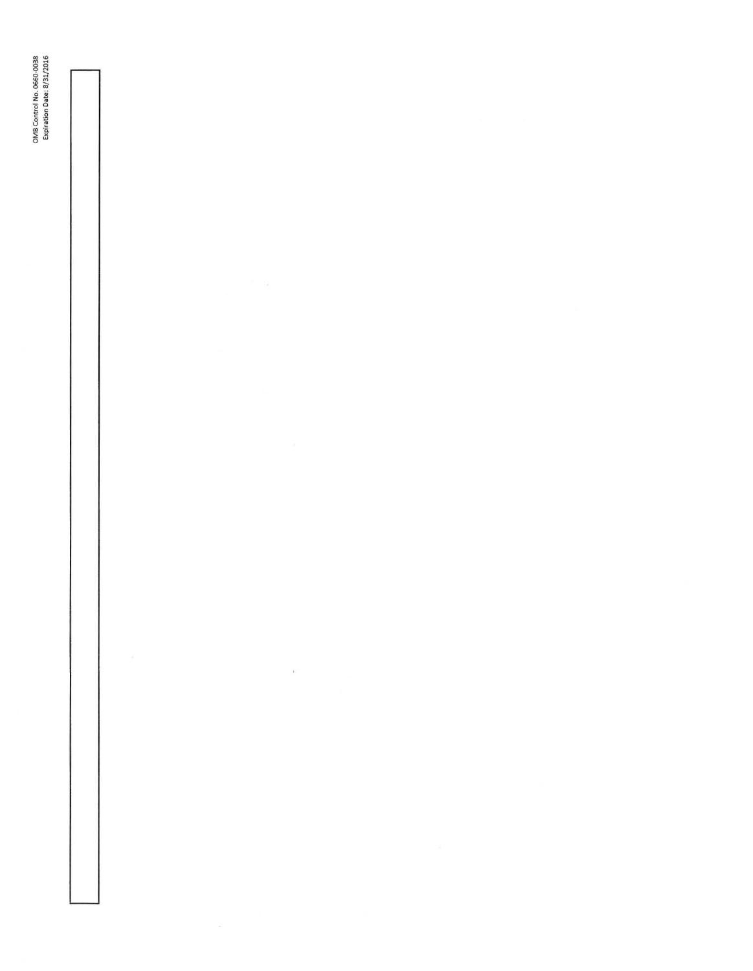OMB Control No. 0660-0038<br>Expiration Date: 8/31/2016

 $\tilde{V}$